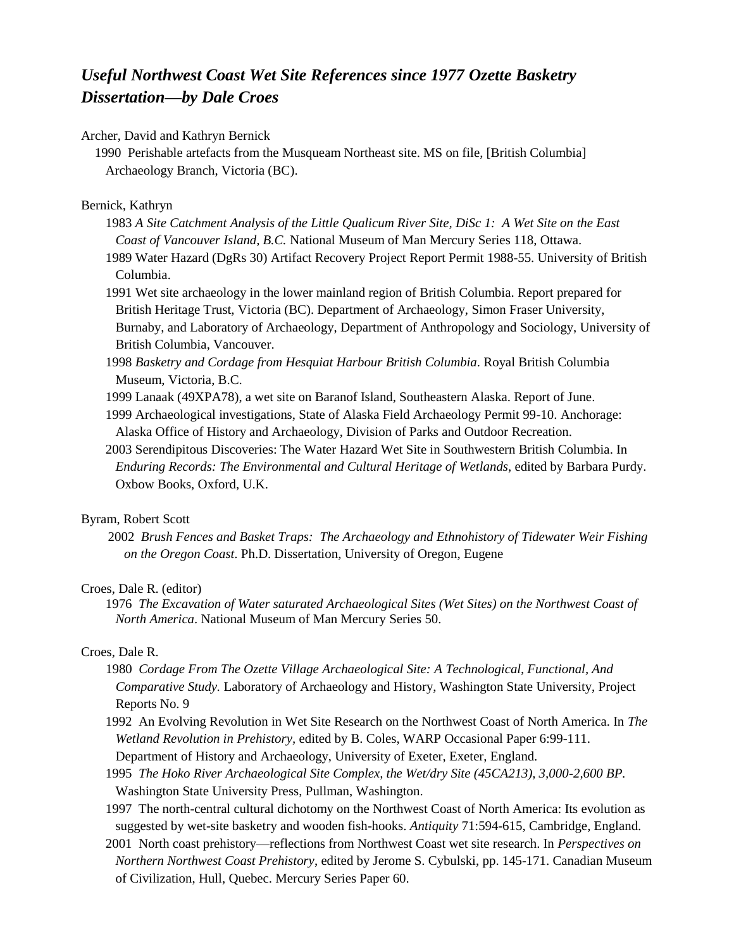# *Useful Northwest Coast Wet Site References since 1977 Ozette Basketry Dissertation—by Dale Croes*

#### Archer, David and Kathryn Bernick

1990 Perishable artefacts from the Musqueam Northeast site. MS on file, [British Columbia] Archaeology Branch, Victoria (BC).

## Bernick, Kathryn

- 1983 *A Site Catchment Analysis of the Little Qualicum River Site, DiSc 1: A Wet Site on the East Coast of Vancouver Island, B.C.* National Museum of Man Mercury Series 118, Ottawa.
- 1989 Water Hazard (DgRs 30) Artifact Recovery Project Report Permit 1988-55. University of British Columbia.
- 1991 Wet site archaeology in the [lower mainland](http://encyclopedia.thefreedictionary.com/Lower+Mainland) region of British Columbia. Report prepared for British Heritage Trust, Victoria (BC). Department of Archaeology, [Simon Fraser University,](http://encyclopedia2.thefreedictionary.com/Simon+Fraser+University) Burnaby, and Laboratory of Archaeology, Department of Anthropology and Sociology, University of British Columbia, Vancouver.
- 1998 *Basketry and Cordage from Hesquiat Harbour British Columbia*. Royal British Columbia Museum, Victoria, B.C.
- 1999 Lanaak (49XPA78), a wet site on Baranof Island, Southeastern Alaska. Report of June.
- 1999 Archaeological investigations, State of Alaska Field Archaeology Permit 99-10. Anchorage: Alaska Office of History and Archaeology, Division of Parks and Outdoor Recreation.
- 2003 Serendipitous Discoveries: The Water Hazard Wet Site in Southwestern British Columbia. In *Enduring Records: The Environmental and Cultural Heritage of Wetlands*, edited by Barbara Purdy. Oxbow Books, Oxford, U.K.

## Byram, Robert Scott

2002 *Brush Fences and Basket Traps: The Archaeology and Ethnohistory of Tidewater Weir Fishing on the Oregon Coast*. Ph.D. Dissertation, University of Oregon, Eugene

#### Croes, Dale R. (editor)

1976 *The Excavation of Water saturated Archaeological Sites (Wet Sites) on the Northwest Coast of North America*. National Museum of Man Mercury Series 50.

# Croes, Dale R.

- 1980 *Cordage From The Ozette Village Archaeological Site: A Technological, Functional, And Comparative Study.* Laboratory of Archaeology and History, Washington State University, Project Reports No. 9
- 1992 An Evolving Revolution in Wet Site Research on the Northwest Coast of North America. In *The Wetland Revolution in Prehistory,* edited by B. Coles, WARP Occasional Paper 6:99-111. Department of History and Archaeology, University of Exeter, Exeter, England.
- 1995 *The Hoko River Archaeological Site Complex, the Wet/dry Site (45CA213), 3,000-2,600 BP.*  Washington State University Press, Pullman, Washington.
- 1997 The north-central cultural dichotomy on the Northwest Coast of North America: Its evolution as suggested by wet-site basketry and wooden fish-hooks. *Antiquity* 71:594-615, Cambridge, England.
- 2001 North coast prehistory—reflections from Northwest Coast wet site research. In *Perspectives on Northern Northwest Coast Prehistory*, edited by Jerome S. Cybulski, pp. 145-171. Canadian Museum of Civilization, Hull, Quebec. Mercury Series Paper 60.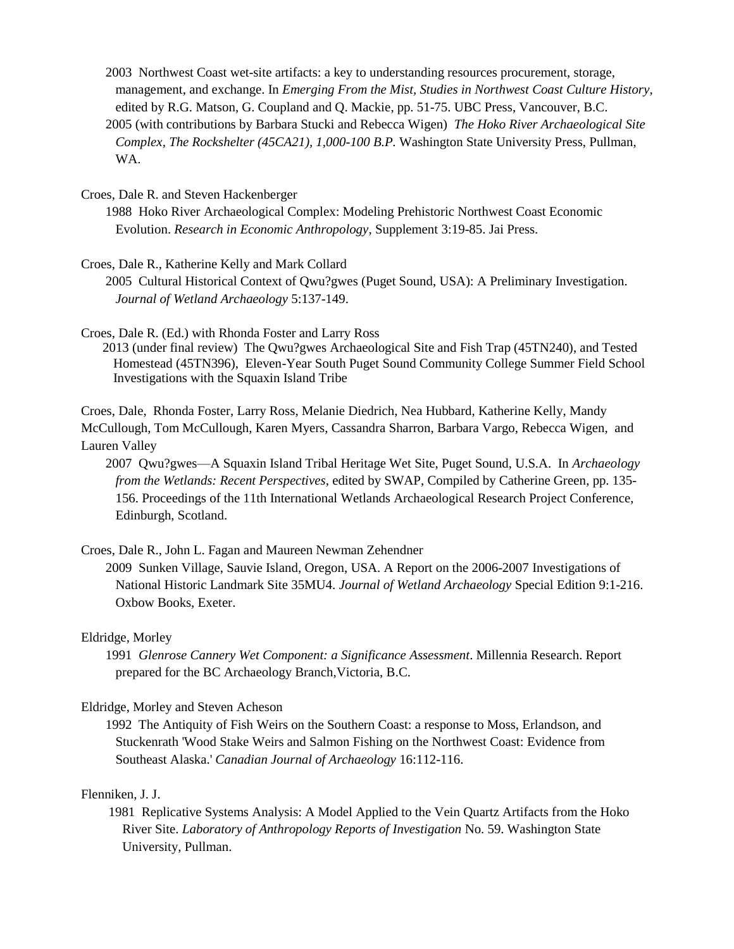- 2003 Northwest Coast wet-site artifacts: a key to understanding resources procurement, storage, management, and exchange. In *Emerging From the Mist, Studies in Northwest Coast Culture History,*  edited by R.G. Matson, G. Coupland and Q. Mackie, pp. 51-75. UBC Press, Vancouver, B.C.
- 2005 (with contributions by Barbara Stucki and Rebecca Wigen) *The Hoko River Archaeological Site Complex, The Rockshelter (45CA21), 1,000-100 B.P.* Washington State University Press, Pullman, WA.

Croes, Dale R. and Steven Hackenberger

1988 Hoko River Archaeological Complex: Modeling Prehistoric Northwest Coast Economic Evolution. *Research in Economic Anthropology*, Supplement 3:19-85. Jai Press.

Croes, Dale R., Katherine Kelly and Mark Collard

2005 Cultural Historical Context of Qwu?gwes (Puget Sound, USA): A Preliminary Investigation. *Journal of Wetland Archaeology* 5:137-149.

Croes, Dale R. (Ed.) with Rhonda Foster and Larry Ross

2013 (under final review) The Qwu?gwes Archaeological Site and Fish Trap (45TN240), and Tested Homestead (45TN396), Eleven-Year South Puget Sound Community College Summer Field School Investigations with the Squaxin Island Tribe

Croes, Dale, Rhonda Foster, Larry Ross, Melanie Diedrich, Nea Hubbard, Katherine Kelly, Mandy McCullough, Tom McCullough, Karen Myers, Cassandra Sharron, Barbara Vargo, Rebecca Wigen, and Lauren Valley

2007 Qwu?gwes—A Squaxin Island Tribal Heritage Wet Site, Puget Sound, U.S.A. In *Archaeology from the Wetlands: Recent Perspectives*, edited by SWAP, Compiled by Catherine Green, pp. 135- 156. Proceedings of the 11th International Wetlands Archaeological Research Project Conference, Edinburgh, Scotland.

Croes, Dale R., John L. Fagan and Maureen Newman Zehendner

2009 Sunken Village, Sauvie Island, Oregon, USA. A Report on the 2006-2007 Investigations of National Historic Landmark Site 35MU4. *Journal of Wetland Archaeology* Special Edition 9:1-216. Oxbow Books, Exeter.

#### Eldridge, Morley

1991 *Glenrose Cannery Wet Component: a Significance Assessment*. Millennia Research. Report prepared for the BC Archaeology Branch,Victoria, B.C.

#### Eldridge, Morley and Steven Acheson

1992 The Antiquity of Fish Weirs on the Southern Coast: a response to Moss, Erlandson, and Stuckenrath 'Wood Stake Weirs and Salmon Fishing on the Northwest Coast: Evidence from Southeast Alaska.' *Canadian Journal of Archaeology* 16:112-116.

# Flenniken, J. J.

1981 Replicative Systems Analysis: A Model Applied to the Vein Quartz Artifacts from the Hoko River Site. *Laboratory of Anthropology Reports of Investigation* No. 59. Washington State University, Pullman.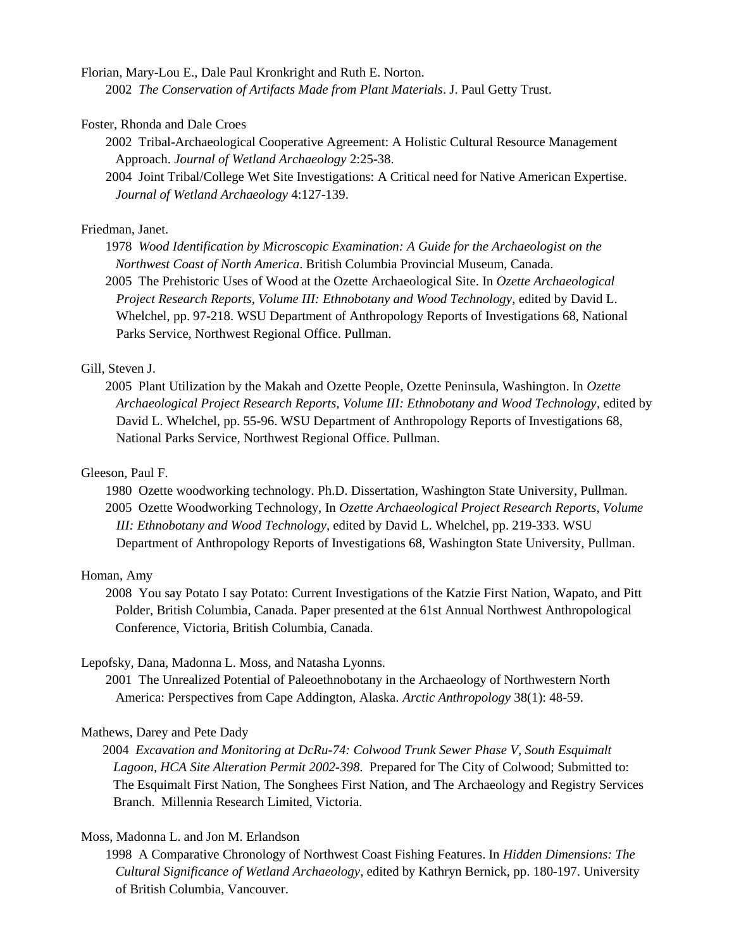Florian, Mary-Lou E., Dale Paul Kronkright and Ruth E. Norton.

2002 *The Conservation of Artifacts Made from Plant Materials*. J. Paul Getty Trust.

Foster, Rhonda and Dale Croes

2002 Tribal-Archaeological Cooperative Agreement: A Holistic Cultural Resource Management Approach. *Journal of Wetland Archaeology* 2:25-38.

2004 Joint Tribal/College Wet Site Investigations: A Critical need for Native American Expertise. *Journal of Wetland Archaeology* 4:127-139.

## Friedman, Janet.

1978 *Wood Identification by Microscopic Examination: A Guide for the Archaeologist on the Northwest Coast of North America*. British Columbia Provincial Museum, Canada.

2005 The Prehistoric Uses of Wood at the Ozette Archaeological Site. In *Ozette Archaeological Project Research Reports, Volume III: Ethnobotany and Wood Technology*, edited by David L. Whelchel, pp. 97-218. WSU Department of Anthropology Reports of Investigations 68, National Parks Service, Northwest Regional Office. Pullman.

# Gill, Steven J.

2005 Plant Utilization by the Makah and Ozette People, Ozette Peninsula, Washington. In *Ozette Archaeological Project Research Reports, Volume III: Ethnobotany and Wood Technology*, edited by David L. Whelchel, pp. 55-96. WSU Department of Anthropology Reports of Investigations 68, National Parks Service, Northwest Regional Office. Pullman.

# Gleeson, Paul F.

1980 Ozette woodworking technology. Ph.D. Dissertation, Washington State University, Pullman. 2005 Ozette Woodworking Technology, In *Ozette Archaeological Project Research Reports, Volume III: Ethnobotany and Wood Technology*, edited by David L. Whelchel, pp. 219-333. WSU Department of Anthropology Reports of Investigations 68, Washington State University, Pullman.

# Homan, Amy

2008 You say Potato I say Potato: Current Investigations of the Katzie First Nation, Wapato, and Pitt Polder, British Columbia, Canada. Paper presented at the 61st Annual Northwest Anthropological Conference, Victoria, British Columbia, Canada.

#### Lepofsky, Dana, Madonna L. Moss, and Natasha Lyonns.

2001 The Unrealized Potential of Paleoethnobotany in the Archaeology of Northwestern North America: Perspectives from Cape Addington, Alaska. *Arctic Anthropology* 38(1): 48-59.

#### Mathews, Darey and Pete Dady

2004 *Excavation and Monitoring at DcRu-74: Colwood Trunk Sewer Phase V, South Esquimalt Lagoon, HCA Site Alteration Permit 2002-398*. Prepared for The City of Colwood; Submitted to: The Esquimalt First Nation, The Songhees First Nation, and The Archaeology and Registry Services Branch. Millennia Research Limited, Victoria.

## Moss, Madonna L. and Jon M. Erlandson

1998 A Comparative Chronology of Northwest Coast Fishing Features. In *Hidden Dimensions: The Cultural Significance of Wetland Archaeology,* edited by Kathryn Bernick, pp. 180-197. University of British Columbia, Vancouver.